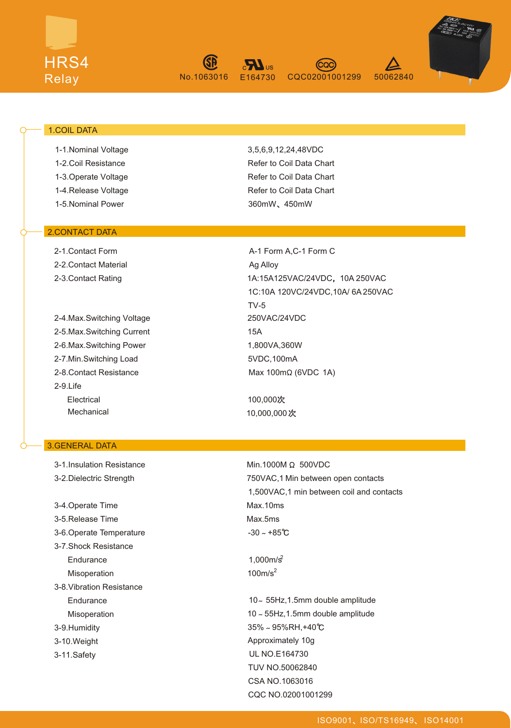



CQC02001001299 50062840



### 1.COIL DATA

 1-1.Nominal Voltage 1-2.Coil Resistance 1-3.Operate Voltage 1-4.Release Voltage 1-5.Nominal Power

### 2.CONTACT DATA

 2-1.Contact Form 2-2.Contact Material 2-3.Contact Rating

 2-9.Life 2-4.Max.Switching Voltage 2-5.Max.Switching Current 2-6.Max.Switching Power 2-7.Min.Switching Load 2-8.Contact Resistance Electrical Mechanical

### 3.GENERAL DATA

 3-7. Shock Resistance 3-9.Humidity 3-10.Weight 3-11.Safety 3-1.Insulation Resistance 3-2.Dielectric Strength 3-4.Operate Time 3-5.Release Time 3-6.Operate Temperature **Endurance**  Misoperation 3-8.Vibration Resistance **Endurance** Misoperation

3,5,6,9,12,24,48VDC Refer to Coil Data Chart Refer to Coil Data Chart Refer to Coil Data Chart 360mW, 450mW

A-1 Form A,C-1 Form C Ag Alloy 1A:15A125VAC/24VDC, 10A 250VAC 1C:10A 120VC/24VDC,10A/ 6A 250VAC TV-5 250VAC/24VDC 15A 1,800VA,360W 5VDC,100mA Max 100mΩ (6VDC 1A)

> 100,000 10,000,000

 $Min.1000M \Omega 500VDC$ 750VAC,1 Min between open contacts 1,500VAC,1 min between coil and contacts Max.10ms Max.5ms  $-30 - +85^{\circ}C$ 

 $1,000m/s^2$  $100m/s<sup>2</sup>$ 

10 55Hz,1.5mm double amplitude 10 ~ 55Hz, 1.5mm double amplitude  $35\% \sim 95\%$ RH,+40°C Approximately 10g UL NO.E164730 TUV NO.50062840 CSA NO.1063016 CQC NO.02001001299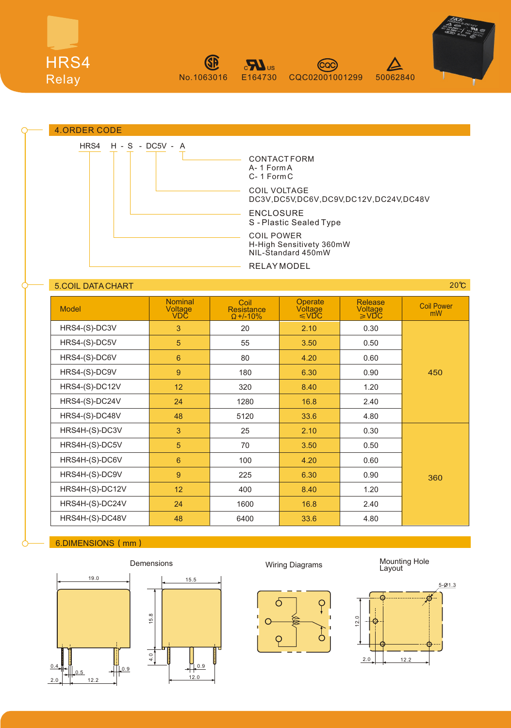







## **5.COIL DATA CHART 200 CONTROL**

| <b>Model</b>    | <b>Nominal</b><br>Voltage<br><b>VDČ</b> | Coil<br><b>Resistance</b><br>$\Omega$ +/-10% | <b>Operate</b><br>Voltage<br>$\leq$ VDC | <b>Release</b><br>Voltage<br>≥VĎC | <b>Coil Power</b><br>mW |
|-----------------|-----------------------------------------|----------------------------------------------|-----------------------------------------|-----------------------------------|-------------------------|
| HRS4-(S)-DC3V   | 3                                       | 20                                           | 2.10                                    | 0.30                              | 450                     |
| HRS4-(S)-DC5V   | 5                                       | 55                                           | 3.50                                    | 0.50                              |                         |
| HRS4-(S)-DC6V   | 6                                       | 80                                           | 4.20                                    | 0.60                              |                         |
| HRS4-(S)-DC9V   | 9                                       | 180                                          | 6.30                                    | 0.90                              |                         |
| HRS4-(S)-DC12V  | 12                                      | 320                                          | 8.40                                    | 1.20                              |                         |
| HRS4-(S)-DC24V  | 24                                      | 1280                                         | 16.8                                    | 2.40                              |                         |
| HRS4-(S)-DC48V  | 48                                      | 5120                                         | 33.6                                    | 4.80                              |                         |
| HRS4H-(S)-DC3V  | 3                                       | 25                                           | 2.10                                    | 0.30                              | 360                     |
| HRS4H-(S)-DC5V  | 5                                       | 70                                           | 3.50                                    | 0.50                              |                         |
| HRS4H-(S)-DC6V  | $6\overline{6}$                         | 100                                          | 4.20                                    | 0.60                              |                         |
| HRS4H-(S)-DC9V  | 9                                       | 225                                          | 6.30                                    | 0.90                              |                         |
| HRS4H-(S)-DC12V | 12                                      | 400                                          | 8.40                                    | 1.20                              |                         |
| HRS4H-(S)-DC24V | 24                                      | 1600                                         | 16.8                                    | 2.40                              |                         |
| HRS4H-(S)-DC48V | 48                                      | 6400                                         | 33.6                                    | 4.80                              |                         |

### 6.DIMENSIONS (mm)